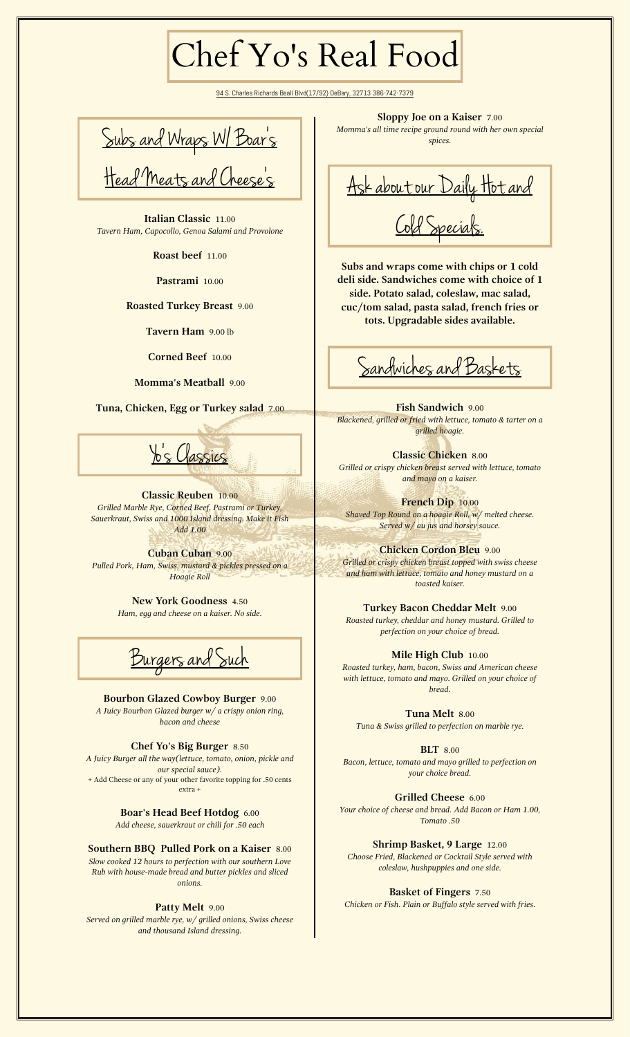## Chef Yo's Real Food

94 S. Charles Richards Beall Blvd(17/92) DeBary, 32713 386-742-7379

Subs and Wraps W/ Boar's Head Meats and Cheese's

**Italian Classic** 11.00 *Tavern Ham, Capocollo, Genoa Salami and Provolone*

**Roast beef** 11.00

**Pastrami** 10.00

**Roasted Turkey Breast** 9.00

**Tavern Ham** 9.00 lb

**Corned Beef** 10.00

**Momma's Meatball** 9.00

**Tuna, Chicken, Egg or Turkey salad** 7.00



**Classic Reuben** 10.00 *Grilled Marble Rye, Corned Beef, Pastrami or Turkey, Sauerkraut, Swiss and 1000 Island dressing. Make it Fish Add 1.00*

**Cuban Cuban** 9.00 *Pulled Pork, Ham, Swiss, mustard & pickles pressed on a Hoagie Roll*

> **New York Goodness** 4.50 *Ham, egg and cheese on a kaiser. No side.*

<u>Burgers</u> and Such

**Bourbon Glazed Cowboy Burger** 9.00 *A Juicy Bourbon Glazed burger w/ a crispy onion ring, bacon and cheese*

**Chef Yo's Big Burger** 8.50 *A Juicy Burger all the way(lettuce, tomato, onion, pickle and our special sauce).* + Add Cheese or any of your other favorite topping for .50 cents extra +

> **Boar's Head Beef Hotdog** 6.00 *Add cheese, sauerkraut or chili for .50 each*

**Southern BBQ Pulled Pork on a Kaiser** 8.00 *Slow cooked 12 hours to perfection with our southern Love Rub with house-made bread and butter pickles and sliced onions.*

## **Patty Melt** 9.00

*Served on grilled marble rye, w/ grilled onions, Swiss cheese and thousand Island dressing.*

**Sloppy Joe on a Kaiser** 7.00

*Momma's all time recipe ground round with her own special spices.*

Ask about our Daily Hot and Cold Specials.

**Subs and wraps come with chips or 1 cold deli side. Sandwiches come with choice of 1 side. Potato salad, coleslaw, mac salad, cuc/tom salad, pasta salad, french fries or tots. Upgradable sides available.**

Sandwiches and Baskets

**Fish Sandwich** 9.00 *Blackened, grilled or fried with lettuce, tomato & tarter on a grilled hoagie.*

**Classic Chicken** 8.00 *Grilled or crispy chicken breast served with lettuce, tomato and mayo on a kaiser.*

**French Dip** 10.00 *Shaved Top Round on a hoagie Roll, w/ melted cheese. Served w/ au jus and horsey sauce.*

**Chicken Cordon Bleu** 9.00 *Grilled or crispy chicken breast topped with swiss cheese and ham with lettuce, tomato and honey mustard on a toasted kaiser.*

**Turkey Bacon Cheddar Melt** 9.00 *Roasted turkey, cheddar and honey mustard. Grilled to perfection on your choice of bread.*

**Mile High Club** 10.00 *Roasted turkey, ham, bacon, Swiss and American cheese with lettuce, tomato and mayo. Grilled on your choice of bread.*

**Tuna Melt** 8.00 *Tuna & Swiss grilled to perfection on marble rye.*

**BLT** 8.00 *Bacon, lettuce, tomato and mayo grilled to perfection on your choice bread.*

**Grilled Cheese** 6.00 *Your choice of cheese and bread. Add Bacon or Ham 1.00, Tomato .50*

**Shrimp Basket, 9 Large** 12.00 *Choose Fried, Blackened or Cocktail Style served with coleslaw, hushpuppies and one side.*

**Basket of Fingers** 7.50 *Chicken or Fish. Plain or Buffalo style served with fries.*